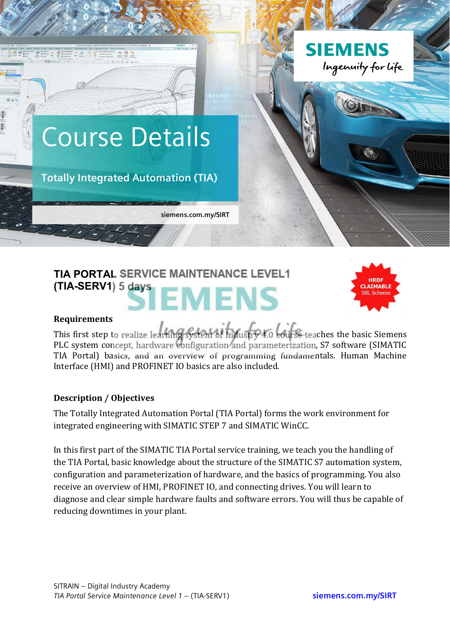

# **TIA PORTAL SERVICE MAINTENANCE LEVEL1 (TIA-SERV1) 5 days** MENS



#### **Requirements**

This first step to realize learning system of Industry 4.0 eourse-teaches the basic Siemens PLC system concept, hardware configuration and parameterization, S7 software (SIMATIC TIA Portal) basics, and an overview of programming fundamentals. Human Machine Interface (HMI) and PROFINET IO basics are also included.

#### **Description / Objectives**

The Totally Integrated Automation Portal (TIA Portal) forms the work environment for integrated engineering with SIMATIC STEP 7 and SIMATIC WinCC.

In this first part of the SIMATIC TIA Portal service training, we teach you the handling of the TIA Portal, basic knowledge about the structure of the SIMATIC S7 automation system, configuration and parameterization of hardware, and the basics of programming. You also receive an overview of HMI, PROFINET IO, and connecting drives. You will learn to diagnose and clear simple hardware faults and software errors. You will thus be capable of reducing downtimes in your plant.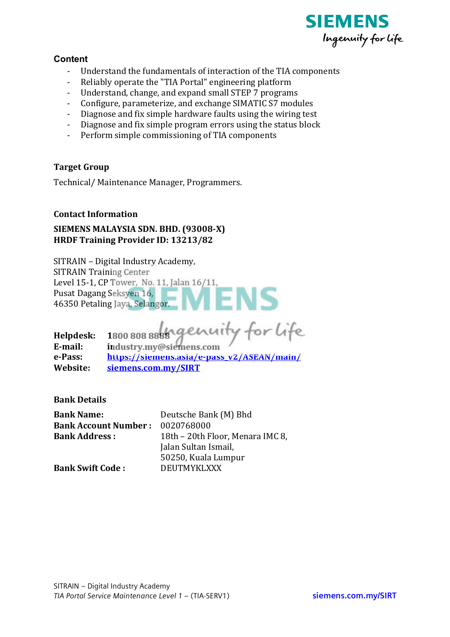

## **Content**

- Understand the fundamentals of interaction of the TIA components
- Reliably operate the "TIA Portal" engineering platform
- Understand, change, and expand small STEP 7 programs
- Configure, parameterize, and exchange SIMATIC S7 modules
- Diagnose and fix simple hardware faults using the wiring test
- Diagnose and fix simple program errors using the status block
- Perform simple commissioning of TIA components

### **Target Group**

Technical/Maintenance Manager, Programmers.

#### **Contact Information**

## SIEMENS MALAYSIA SDN. BHD. (93008-X) **HRDF Training Provider ID: 13213/82**

SITRAIN - Digital Industry Academy. **SITRAIN Training Center** Level 15-1, CP Tower, No. 11, Jalan 16/11, Pusat Dagang Seksyen 16, 46350 Petaling Jaya, Selangor.

Helpdesk: 1800 808 8888 genuity for life E-mail: industry.my@siemens.com e-Pass: https://siemens.asia/e-pass\_v2/ASEAN/main/ Website: siemens.com.my/SIRT

**Bank Details** 

| <b>Bank Name:</b>            | Deutsche Bank (M) Bhd            |
|------------------------------|----------------------------------|
| <b>Bank Account Number :</b> | 0020768000                       |
| <b>Bank Address:</b>         | 18th - 20th Floor, Menara IMC 8, |
|                              | Jalan Sultan Ismail,             |
|                              | 50250, Kuala Lumpur              |
| <b>Bank Swift Code:</b>      | <b>DEUTMYKLXXX</b>               |